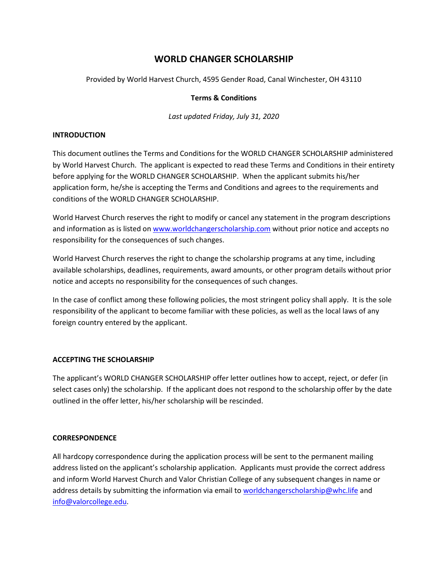# **WORLD CHANGER SCHOLARSHIP**

Provided by World Harvest Church, 4595 Gender Road, Canal Winchester, OH 43110

### **Terms & Conditions**

*Last updated Friday, July 31, 2020*

### **INTRODUCTION**

This document outlines the Terms and Conditions for the WORLD CHANGER SCHOLARSHIP administered by World Harvest Church. The applicant is expected to read these Terms and Conditions in their entirety before applying for the WORLD CHANGER SCHOLARSHIP. When the applicant submits his/her application form, he/she is accepting the Terms and Conditions and agrees to the requirements and conditions of the WORLD CHANGER SCHOLARSHIP.

World Harvest Church reserves the right to modify or cancel any statement in the program descriptions and information as is listed on [www.worldchangerscholarship.com](http://www.worldchangerscholarship.com/) without prior notice and accepts no responsibility for the consequences of such changes.

World Harvest Church reserves the right to change the scholarship programs at any time, including available scholarships, deadlines, requirements, award amounts, or other program details without prior notice and accepts no responsibility for the consequences of such changes.

In the case of conflict among these following policies, the most stringent policy shall apply. It is the sole responsibility of the applicant to become familiar with these policies, as well as the local laws of any foreign country entered by the applicant.

# **ACCEPTING THE SCHOLARSHIP**

The applicant's WORLD CHANGER SCHOLARSHIP offer letter outlines how to accept, reject, or defer (in select cases only) the scholarship. If the applicant does not respond to the scholarship offer by the date outlined in the offer letter, his/her scholarship will be rescinded.

### **CORRESPONDENCE**

All hardcopy correspondence during the application process will be sent to the permanent mailing address listed on the applicant's scholarship application. Applicants must provide the correct address and inform World Harvest Church and Valor Christian College of any subsequent changes in name or address details by submitting the information via email to [worldchangerscholarship@whc.life](mailto:worldchangerscholarship@whc.life) and [info@valorcollege.edu.](mailto:info@valorcollege.edu)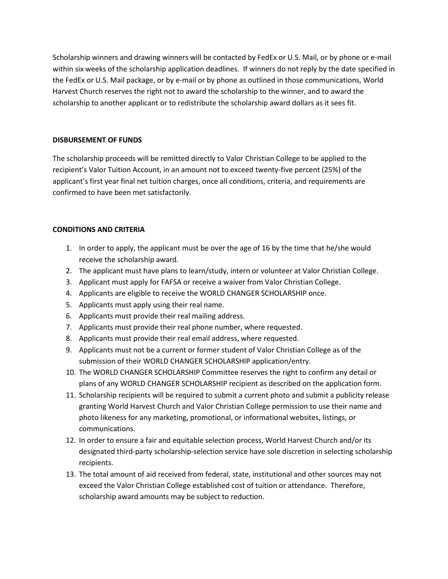Scholarship winners and drawing winners will be contacted by FedEx or U.S. Mail, or by phone or e-mail within six weeks of the scholarship application deadlines. If winners do not reply by the date specified in the FedEx or U.S. Mail package, or by e-mail or by phone as outlined in those communications, World Harvest Church reserves the right not to award the scholarship to the winner, and to award the scholarship to another applicant or to redistribute the scholarship award dollars as it sees fit.

# **DISBURSEMENT OF FUNDS**

The scholarship proceeds will be remitted directly to Valor Christian College to be applied to the recipient's Valor Tuition Account, in an amount not to exceed twenty-five percent (25%) of the applicant's first year final net tuition charges, once all conditions, criteria, and requirements are confirmed to have been met satisfactorily.

# **CONDITIONS AND CRITERIA**

- 1. In order to apply, the applicant must be over the age of 16 by the time that he/she would receive the scholarship award.
- 2. The applicant must have plans to learn/study, intern or volunteer at Valor Christian College.
- 3. Applicant must apply for FAFSA or receive a waiver from Valor Christian College.
- 4. Applicants are eligible to receive the WORLD CHANGER SCHOLARSHIP once.
- 5. Applicants must apply using their real name.
- 6. Applicants must provide their real mailing address.
- 7. Applicants must provide their real phone number, where requested.
- 8. Applicants must provide their real email address, where requested.
- 9. Applicants must not be a current or former student of Valor Christian College as of the submission of their WORLD CHANGER SCHOLARSHIP application/entry.
- 10. The WORLD CHANGER SCHOLARSHIP Committee reserves the right to confirm any detail or plans of any WORLD CHANGER SCHOLARSHIP recipient as described on the application form.
- 11. Scholarship recipients will be required to submit a current photo and submit a publicity release granting World Harvest Church and Valor Christian College permission to use their name and photo likeness for any marketing, promotional, or informational websites, listings, or communications.
- 12. In order to ensure a fair and equitable selection process, World Harvest Church and/or its designated third-party scholarship-selection service have sole discretion in selecting scholarship recipients.
- 13. The total amount of aid received from federal, state, institutional and other sources may not exceed the Valor Christian College established cost of tuition or attendance. Therefore, scholarship award amounts may be subject to reduction.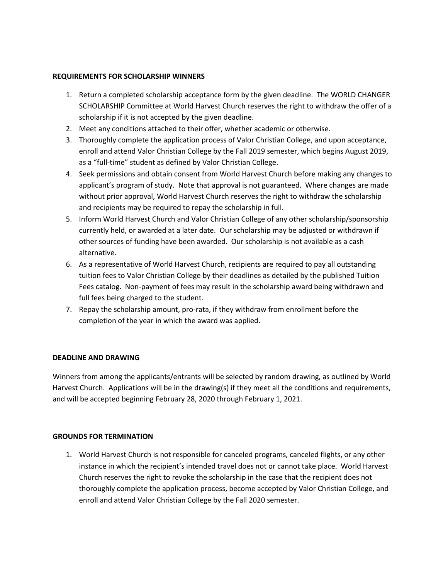### **REQUIREMENTS FOR SCHOLARSHIP WINNERS**

- 1. Return a completed scholarship acceptance form by the given deadline. The WORLD CHANGER SCHOLARSHIP Committee at World Harvest Church reserves the right to withdraw the offer of a scholarship if it is not accepted by the given deadline.
- 2. Meet any conditions attached to their offer, whether academic or otherwise.
- 3. Thoroughly complete the application process of Valor Christian College, and upon acceptance, enroll and attend Valor Christian College by the Fall 2019 semester, which begins August 2019, as a "full-time" student as defined by Valor Christian College.
- 4. Seek permissions and obtain consent from World Harvest Church before making any changes to applicant's program of study. Note that approval is not guaranteed. Where changes are made without prior approval, World Harvest Church reserves the right to withdraw the scholarship and recipients may be required to repay the scholarship in full.
- 5. Inform World Harvest Church and Valor Christian College of any other scholarship/sponsorship currently held, or awarded at a later date. Our scholarship may be adjusted or withdrawn if other sources of funding have been awarded. Our scholarship is not available as a cash alternative.
- 6. As a representative of World Harvest Church, recipients are required to pay all outstanding tuition fees to Valor Christian College by their deadlines as detailed by the published Tuition Fees catalog. Non-payment of fees may result in the scholarship award being withdrawn and full fees being charged to the student.
- 7. Repay the scholarship amount, pro-rata, if they withdraw from enrollment before the completion of the year in which the award was applied.

### **DEADLINE AND DRAWING**

Winners from among the applicants/entrants will be selected by random drawing, as outlined by World Harvest Church. Applications will be in the drawing(s) if they meet all the conditions and requirements, and will be accepted beginning February 28, 2020 through February 1, 2021.

#### **GROUNDS FOR TERMINATION**

1. World Harvest Church is not responsible for canceled programs, canceled flights, or any other instance in which the recipient's intended travel does not or cannot take place. World Harvest Church reserves the right to revoke the scholarship in the case that the recipient does not thoroughly complete the application process, become accepted by Valor Christian College, and enroll and attend Valor Christian College by the Fall 2020 semester.